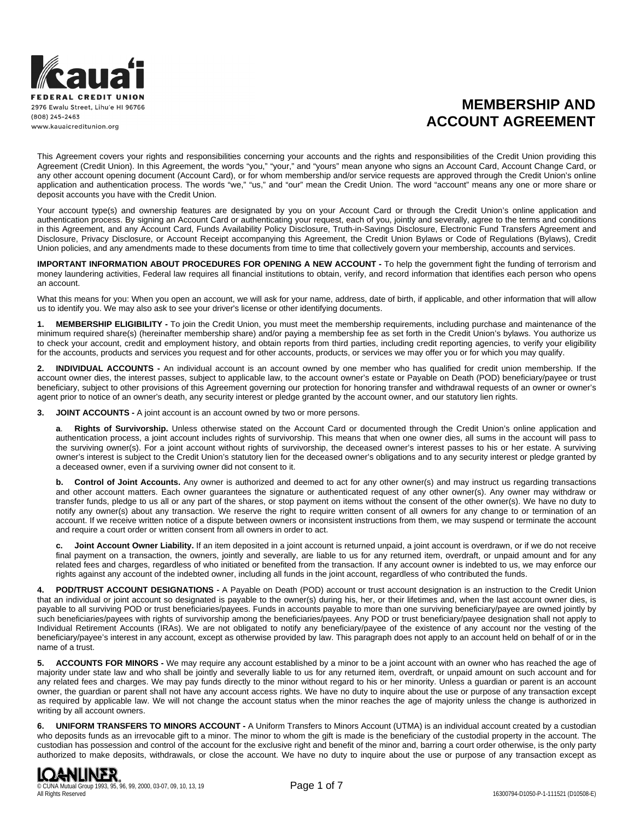

# **MEMBERSHIP AND ACCOUNT AGREEMENT**

This Agreement covers your rights and responsibilities concerning your accounts and the rights and responsibilities of the Credit Union providing this Agreement (Credit Union). In this Agreement, the words "you," "your," and "yours" mean anyone who signs an Account Card, Account Change Card, or any other account opening document (Account Card), or for whom membership and/or service requests are approved through the Credit Union's online application and authentication process. The words "we," "us," and "our" mean the Credit Union. The word "account" means any one or more share or deposit accounts you have with the Credit Union.

Your account type(s) and ownership features are designated by you on your Account Card or through the Credit Union's online application and authentication process. By signing an Account Card or authenticating your request, each of you, jointly and severally, agree to the terms and conditions in this Agreement, and any Account Card, Funds Availability Policy Disclosure, Truth-in-Savings Disclosure, Electronic Fund Transfers Agreement and Disclosure, Privacy Disclosure, or Account Receipt accompanying this Agreement, the Credit Union Bylaws or Code of Regulations (Bylaws), Credit Union policies, and any amendments made to these documents from time to time that collectively govern your membership, accounts and services.

**IMPORTANT INFORMATION ABOUT PROCEDURES FOR OPENING A NEW ACCOUNT -** To help the government fight the funding of terrorism and money laundering activities, Federal law requires all financial institutions to obtain, verify, and record information that identifies each person who opens an account.

What this means for you: When you open an account, we will ask for your name, address, date of birth, if applicable, and other information that will allow us to identify you. We may also ask to see your driver's license or other identifying documents.

**1. MEMBERSHIP ELIGIBILITY -** To join the Credit Union, you must meet the membership requirements, including purchase and maintenance of the minimum required share(s) (hereinafter membership share) and/or paying a membership fee as set forth in the Credit Union's bylaws. You authorize us to check your account, credit and employment history, and obtain reports from third parties, including credit reporting agencies, to verify your eligibility for the accounts, products and services you request and for other accounts, products, or services we may offer you or for which you may qualify.

**2. INDIVIDUAL ACCOUNTS -** An individual account is an account owned by one member who has qualified for credit union membership. If the account owner dies, the interest passes, subject to applicable law, to the account owner's estate or Payable on Death (POD) beneficiary/payee or trust beneficiary, subject to other provisions of this Agreement governing our protection for honoring transfer and withdrawal requests of an owner or owner's agent prior to notice of an owner's death, any security interest or pledge granted by the account owner, and our statutory lien rights.

**3. JOINT ACCOUNTS -** A joint account is an account owned by two or more persons.

**a**. **Rights of Survivorship.** Unless otherwise stated on the Account Card or documented through the Credit Union's online application and authentication process, a joint account includes rights of survivorship. This means that when one owner dies, all sums in the account will pass to the surviving owner(s). For a joint account without rights of survivorship, the deceased owner's interest passes to his or her estate. A surviving owner's interest is subject to the Credit Union's statutory lien for the deceased owner's obligations and to any security interest or pledge granted by a deceased owner, even if a surviving owner did not consent to it.

**b. Control of Joint Accounts.** Any owner is authorized and deemed to act for any other owner(s) and may instruct us regarding transactions and other account matters. Each owner guarantees the signature or authenticated request of any other owner(s). Any owner may withdraw or transfer funds, pledge to us all or any part of the shares, or stop payment on items without the consent of the other owner(s). We have no duty to notify any owner(s) about any transaction. We reserve the right to require written consent of all owners for any change to or termination of an account. If we receive written notice of a dispute between owners or inconsistent instructions from them, we may suspend or terminate the account and require a court order or written consent from all owners in order to act.

**c. Joint Account Owner Liability.** If an item deposited in a joint account is returned unpaid, a joint account is overdrawn, or if we do not receive final payment on a transaction, the owners, jointly and severally, are liable to us for any returned item, overdraft, or unpaid amount and for any related fees and charges, regardless of who initiated or benefited from the transaction. If any account owner is indebted to us, we may enforce our rights against any account of the indebted owner, including all funds in the joint account, regardless of who contributed the funds.

**4. POD/TRUST ACCOUNT DESIGNATIONS -** A Payable on Death (POD) account or trust account designation is an instruction to the Credit Union that an individual or joint account so designated is payable to the owner(s) during his, her, or their lifetimes and, when the last account owner dies, is payable to all surviving POD or trust beneficiaries/payees. Funds in accounts payable to more than one surviving beneficiary/payee are owned jointly by such beneficiaries/payees with rights of survivorship among the beneficiaries/payees. Any POD or trust beneficiary/payee designation shall not apply to Individual Retirement Accounts (IRAs). We are not obligated to notify any beneficiary/payee of the existence of any account nor the vesting of the beneficiary/payee's interest in any account, except as otherwise provided by law. This paragraph does not apply to an account held on behalf of or in the name of a trust.

**5. ACCOUNTS FOR MINORS -** We may require any account established by a minor to be a joint account with an owner who has reached the age of majority under state law and who shall be jointly and severally liable to us for any returned item, overdraft, or unpaid amount on such account and for any related fees and charges. We may pay funds directly to the minor without regard to his or her minority. Unless a guardian or parent is an account owner, the guardian or parent shall not have any account access rights. We have no duty to inquire about the use or purpose of any transaction except as required by applicable law. We will not change the account status when the minor reaches the age of majority unless the change is authorized in writing by all account owners.

**6. UNIFORM TRANSFERS TO MINORS ACCOUNT -** A Uniform Transfers to Minors Account (UTMA) is an individual account created by a custodian who deposits funds as an irrevocable gift to a minor. The minor to whom the gift is made is the beneficiary of the custodial property in the account. The custodian has possession and control of the account for the exclusive right and benefit of the minor and, barring a court order otherwise, is the only party authorized to make deposits, withdrawals, or close the account. We have no duty to inquire about the use or purpose of any transaction except as

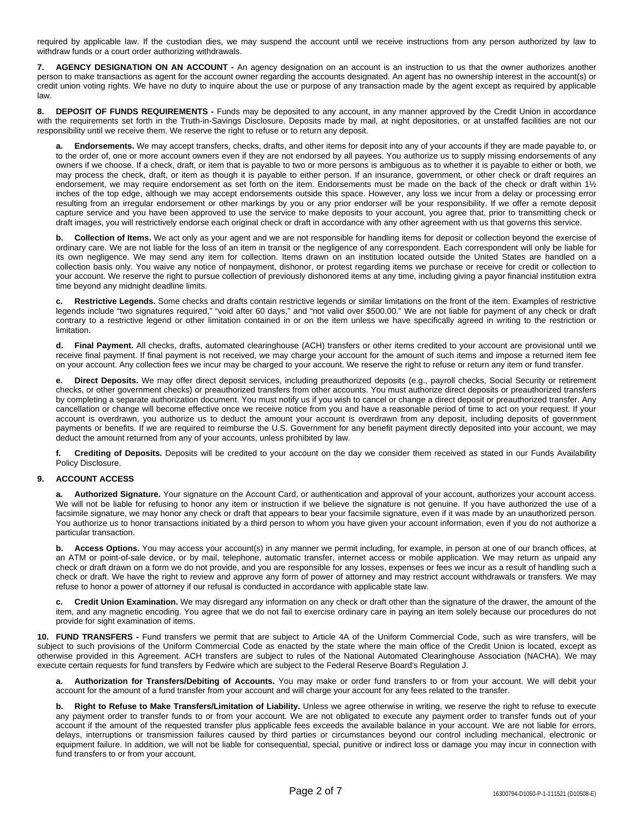required by applicable law. If the custodian dies, we may suspend the account until we receive instructions from any person authorized by law to withdraw funds or a court order authorizing withdrawals.

**7. AGENCY DESIGNATION ON AN ACCOUNT -** An agency designation on an account is an instruction to us that the owner authorizes another person to make transactions as agent for the account owner regarding the accounts designated. An agent has no ownership interest in the account(s) or credit union voting rights. We have no duty to inquire about the use or purpose of any transaction made by the agent except as required by applicable law.

**8. DEPOSIT OF FUNDS REQUIREMENTS -** Funds may be deposited to any account, in any manner approved by the Credit Union in accordance with the requirements set forth in the Truth-in-Savings Disclosure. Deposits made by mail, at night depositories, or at unstaffed facilities are not our responsibility until we receive them. We reserve the right to refuse or to return any deposit.

**a. Endorsements.** We may accept transfers, checks, drafts, and other items for deposit into any of your accounts if they are made payable to, or to the order of, one or more account owners even if they are not endorsed by all payees. You authorize us to supply missing endorsements of any owners if we choose. If a check, draft, or item that is payable to two or more persons is ambiguous as to whether it is payable to either or both, we may process the check, draft, or item as though it is payable to either person. If an insurance, government, or other check or draft requires an endorsement, we may require endorsement as set forth on the item. Endorsements must be made on the back of the check or draft within 1½ inches of the top edge, although we may accept endorsements outside this space. However, any loss we incur from a delay or processing error resulting from an irregular endorsement or other markings by you or any prior endorser will be your responsibility. If we offer a remote deposit capture service and you have been approved to use the service to make deposits to your account, you agree that, prior to transmitting check or draft images, you will restrictively endorse each original check or draft in accordance with any other agreement with us that governs this service.

**b. Collection of Items.** We act only as your agent and we are not responsible for handling items for deposit or collection beyond the exercise of ordinary care. We are not liable for the loss of an item in transit or the negligence of any correspondent. Each correspondent will only be liable for its own negligence. We may send any item for collection. Items drawn on an institution located outside the United States are handled on a collection basis only. You waive any notice of nonpayment, dishonor, or protest regarding items we purchase or receive for credit or collection to your account. We reserve the right to pursue collection of previously dishonored items at any time, including giving a payor financial institution extra time beyond any midnight deadline limits.

**c. Restrictive Legends.** Some checks and drafts contain restrictive legends or similar limitations on the front of the item. Examples of restrictive legends include "two signatures required," "void after 60 days," and "not valid over \$500.00." We are not liable for payment of any check or draft contrary to a restrictive legend or other limitation contained in or on the item unless we have specifically agreed in writing to the restriction or limitation.

**d. Final Payment.** All checks, drafts, automated clearinghouse (ACH) transfers or other items credited to your account are provisional until we receive final payment. If final payment is not received, we may charge your account for the amount of such items and impose a returned item fee on your account. Any collection fees we incur may be charged to your account. We reserve the right to refuse or return any item or fund transfer.

**e. Direct Deposits.** We may offer direct deposit services, including preauthorized deposits (e.g., payroll checks, Social Security or retirement checks, or other government checks) or preauthorized transfers from other accounts. You must authorize direct deposits or preauthorized transfers by completing a separate authorization document. You must notify us if you wish to cancel or change a direct deposit or preauthorized transfer. Any cancellation or change will become effective once we receive notice from you and have a reasonable period of time to act on your request. If your account is overdrawn, you authorize us to deduct the amount your account is overdrawn from any deposit, including deposits of government payments or benefits. If we are required to reimburse the U.S. Government for any benefit payment directly deposited into your account, we may deduct the amount returned from any of your accounts, unless prohibited by law.

**f. Crediting of Deposits.** Deposits will be credited to your account on the day we consider them received as stated in our Funds Availability Policy Disclosure.

# **9. ACCOUNT ACCESS**

**a. Authorized Signature.** Your signature on the Account Card, or authentication and approval of your account, authorizes your account access. We will not be liable for refusing to honor any item or instruction if we believe the signature is not genuine. If you have authorized the use of a facsimile signature, we may honor any check or draft that appears to bear your facsimile signature, even if it was made by an unauthorized person. You authorize us to honor transactions initiated by a third person to whom you have given your account information, even if you do not authorize a particular transaction.

**b. Access Options.** You may access your account(s) in any manner we permit including, for example, in person at one of our branch offices, at an ATM or point-of-sale device, or by mail, telephone, automatic transfer, internet access or mobile application. We may return as unpaid any check or draft drawn on a form we do not provide, and you are responsible for any losses, expenses or fees we incur as a result of handling such a check or draft. We have the right to review and approve any form of power of attorney and may restrict account withdrawals or transfers. We may refuse to honor a power of attorney if our refusal is conducted in accordance with applicable state law.

**c. Credit Union Examination.** We may disregard any information on any check or draft other than the signature of the drawer, the amount of the item, and any magnetic encoding. You agree that we do not fail to exercise ordinary care in paying an item solely because our procedures do not provide for sight examination of items.

**10. FUND TRANSFERS -** Fund transfers we permit that are subject to Article 4A of the Uniform Commercial Code, such as wire transfers, will be subject to such provisions of the Uniform Commercial Code as enacted by the state where the main office of the Credit Union is located, except as otherwise provided in this Agreement. ACH transfers are subject to rules of the National Automated Clearinghouse Association (NACHA). We may execute certain requests for fund transfers by Fedwire which are subject to the Federal Reserve Board's Regulation J.

**a. Authorization for Transfers/Debiting of Accounts.** You may make or order fund transfers to or from your account. We will debit your account for the amount of a fund transfer from your account and will charge your account for any fees related to the transfer.

**b. Right to Refuse to Make Transfers/Limitation of Liability.** Unless we agree otherwise in writing, we reserve the right to refuse to execute any payment order to transfer funds to or from your account. We are not obligated to execute any payment order to transfer funds out of your account if the amount of the requested transfer plus applicable fees exceeds the available balance in your account. We are not liable for errors, delays, interruptions or transmission failures caused by third parties or circumstances beyond our control including mechanical, electronic or equipment failure. In addition, we will not be liable for consequential, special, punitive or indirect loss or damage you may incur in connection with fund transfers to or from your account.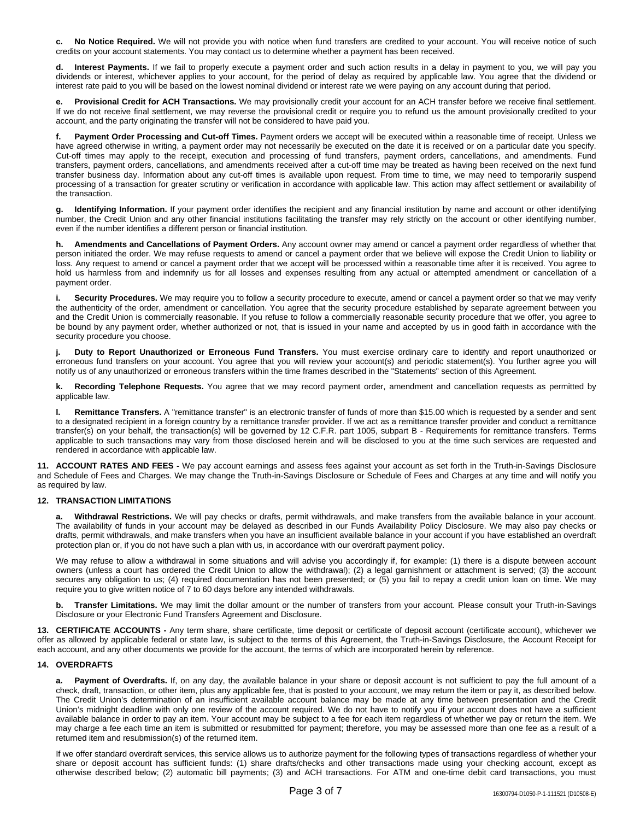**c. No Notice Required.** We will not provide you with notice when fund transfers are credited to your account. You will receive notice of such credits on your account statements. You may contact us to determine whether a payment has been received.

**d. Interest Payments.** If we fail to properly execute a payment order and such action results in a delay in payment to you, we will pay you dividends or interest, whichever applies to your account, for the period of delay as required by applicable law. You agree that the dividend or interest rate paid to you will be based on the lowest nominal dividend or interest rate we were paying on any account during that period.

**e. Provisional Credit for ACH Transactions.** We may provisionally credit your account for an ACH transfer before we receive final settlement. If we do not receive final settlement, we may reverse the provisional credit or require you to refund us the amount provisionally credited to your account, and the party originating the transfer will not be considered to have paid you.

**f. Payment Order Processing and Cut-off Times.** Payment orders we accept will be executed within a reasonable time of receipt. Unless we have agreed otherwise in writing, a payment order may not necessarily be executed on the date it is received or on a particular date you specify. Cut-off times may apply to the receipt, execution and processing of fund transfers, payment orders, cancellations, and amendments. Fund transfers, payment orders, cancellations, and amendments received after a cut-off time may be treated as having been received on the next fund transfer business day. Information about any cut-off times is available upon request. From time to time, we may need to temporarily suspend processing of a transaction for greater scrutiny or verification in accordance with applicable law. This action may affect settlement or availability of the transaction.

**g. Identifying Information.** If your payment order identifies the recipient and any financial institution by name and account or other identifying number, the Credit Union and any other financial institutions facilitating the transfer may rely strictly on the account or other identifying number, even if the number identifies a different person or financial institution.

**h. Amendments and Cancellations of Payment Orders.** Any account owner may amend or cancel a payment order regardless of whether that person initiated the order. We may refuse requests to amend or cancel a payment order that we believe will expose the Credit Union to liability or loss. Any request to amend or cancel a payment order that we accept will be processed within a reasonable time after it is received. You agree to hold us harmless from and indemnify us for all losses and expenses resulting from any actual or attempted amendment or cancellation of a payment order.

**i. Security Procedures.** We may require you to follow a security procedure to execute, amend or cancel a payment order so that we may verify the authenticity of the order, amendment or cancellation. You agree that the security procedure established by separate agreement between you and the Credit Union is commercially reasonable. If you refuse to follow a commercially reasonable security procedure that we offer, you agree to be bound by any payment order, whether authorized or not, that is issued in your name and accepted by us in good faith in accordance with the security procedure you choose.

**j. Duty to Report Unauthorized or Erroneous Fund Transfers.** You must exercise ordinary care to identify and report unauthorized or erroneous fund transfers on your account. You agree that you will review your account(s) and periodic statement(s). You further agree you will notify us of any unauthorized or erroneous transfers within the time frames described in the "Statements" section of this Agreement.

**k. Recording Telephone Requests.** You agree that we may record payment order, amendment and cancellation requests as permitted by applicable law.

**l. Remittance Transfers.** A "remittance transfer" is an electronic transfer of funds of more than \$15.00 which is requested by a sender and sent to a designated recipient in a foreign country by a remittance transfer provider. If we act as a remittance transfer provider and conduct a remittance transfer(s) on your behalf, the transaction(s) will be governed by 12 C.F.R. part 1005, subpart B - Requirements for remittance transfers. Terms applicable to such transactions may vary from those disclosed herein and will be disclosed to you at the time such services are requested and rendered in accordance with applicable law.

**11. ACCOUNT RATES AND FEES -** We pay account earnings and assess fees against your account as set forth in the Truth-in-Savings Disclosure and Schedule of Fees and Charges. We may change the Truth-in-Savings Disclosure or Schedule of Fees and Charges at any time and will notify you as required by law.

# **12. TRANSACTION LIMITATIONS**

**a. Withdrawal Restrictions.** We will pay checks or drafts, permit withdrawals, and make transfers from the available balance in your account. The availability of funds in your account may be delayed as described in our Funds Availability Policy Disclosure. We may also pay checks or drafts, permit withdrawals, and make transfers when you have an insufficient available balance in your account if you have established an overdraft protection plan or, if you do not have such a plan with us, in accordance with our overdraft payment policy.

We may refuse to allow a withdrawal in some situations and will advise you accordingly if, for example: (1) there is a dispute between account owners (unless a court has ordered the Credit Union to allow the withdrawal); (2) a legal garnishment or attachment is served; (3) the account secures any obligation to us; (4) required documentation has not been presented; or (5) you fail to repay a credit union loan on time. We may require you to give written notice of 7 to 60 days before any intended withdrawals.

**b. Transfer Limitations.** We may limit the dollar amount or the number of transfers from your account. Please consult your Truth-in-Savings Disclosure or your Electronic Fund Transfers Agreement and Disclosure.

**13. CERTIFICATE ACCOUNTS -** Any term share, share certificate, time deposit or certificate of deposit account (certificate account), whichever we offer as allowed by applicable federal or state law, is subject to the terms of this Agreement, the Truth-in-Savings Disclosure, the Account Receipt for each account, and any other documents we provide for the account, the terms of which are incorporated herein by reference.

### **14. OVERDRAFTS**

**a. Payment of Overdrafts.** If, on any day, the available balance in your share or deposit account is not sufficient to pay the full amount of a check, draft, transaction, or other item, plus any applicable fee, that is posted to your account, we may return the item or pay it, as described below. The Credit Union's determination of an insufficient available account balance may be made at any time between presentation and the Credit Union's midnight deadline with only one review of the account required. We do not have to notify you if your account does not have a sufficient available balance in order to pay an item. Your account may be subject to a fee for each item regardless of whether we pay or return the item. We may charge a fee each time an item is submitted or resubmitted for payment; therefore, you may be assessed more than one fee as a result of a returned item and resubmission(s) of the returned item.

If we offer standard overdraft services, this service allows us to authorize payment for the following types of transactions regardless of whether your share or deposit account has sufficient funds: (1) share drafts/checks and other transactions made using your checking account, except as otherwise described below; (2) automatic bill payments; (3) and ACH transactions. For ATM and one-time debit card transactions, you must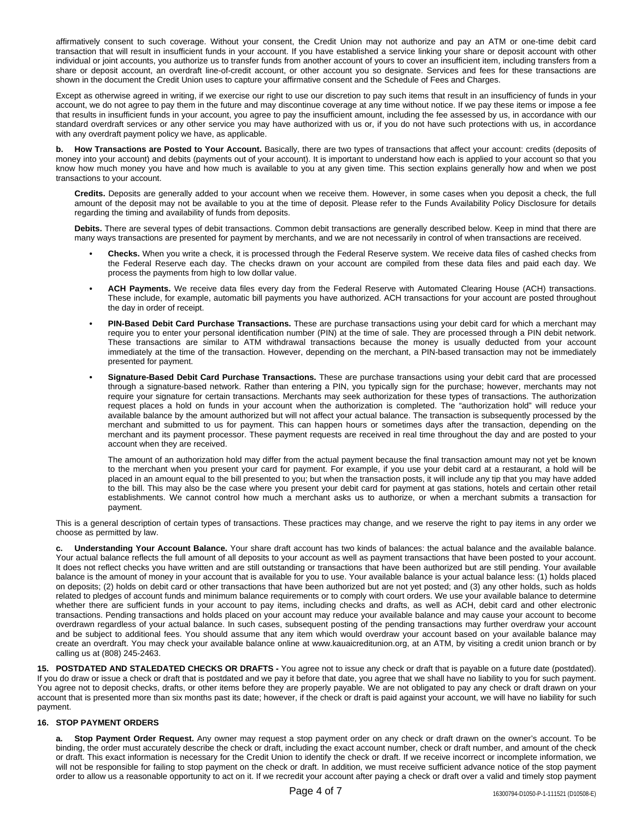affirmatively consent to such coverage. Without your consent, the Credit Union may not authorize and pay an ATM or one-time debit card transaction that will result in insufficient funds in your account. If you have established a service linking your share or deposit account with other individual or joint accounts, you authorize us to transfer funds from another account of yours to cover an insufficient item, including transfers from a share or deposit account, an overdraft line-of-credit account, or other account you so designate. Services and fees for these transactions are shown in the document the Credit Union uses to capture your affirmative consent and the Schedule of Fees and Charges.

Except as otherwise agreed in writing, if we exercise our right to use our discretion to pay such items that result in an insufficiency of funds in your account, we do not agree to pay them in the future and may discontinue coverage at any time without notice. If we pay these items or impose a fee that results in insufficient funds in your account, you agree to pay the insufficient amount, including the fee assessed by us, in accordance with our standard overdraft services or any other service you may have authorized with us or, if you do not have such protections with us, in accordance with any overdraft payment policy we have, as applicable.

**b. How Transactions are Posted to Your Account.** Basically, there are two types of transactions that affect your account: credits (deposits of money into your account) and debits (payments out of your account). It is important to understand how each is applied to your account so that you know how much money you have and how much is available to you at any given time. This section explains generally how and when we post transactions to your account.

**Credits.** Deposits are generally added to your account when we receive them. However, in some cases when you deposit a check, the full amount of the deposit may not be available to you at the time of deposit. Please refer to the Funds Availability Policy Disclosure for details regarding the timing and availability of funds from deposits.

**Debits.** There are several types of debit transactions. Common debit transactions are generally described below. Keep in mind that there are many ways transactions are presented for payment by merchants, and we are not necessarily in control of when transactions are received.

- **• Checks.** When you write a check, it is processed through the Federal Reserve system. We receive data files of cashed checks from the Federal Reserve each day. The checks drawn on your account are compiled from these data files and paid each day. We process the payments from high to low dollar value.
- **• ACH Payments.** We receive data files every day from the Federal Reserve with Automated Clearing House (ACH) transactions. These include, for example, automatic bill payments you have authorized. ACH transactions for your account are posted throughout the day in order of receipt.
- **• PIN-Based Debit Card Purchase Transactions.** These are purchase transactions using your debit card for which a merchant may require you to enter your personal identification number (PIN) at the time of sale. They are processed through a PIN debit network. These transactions are similar to ATM withdrawal transactions because the money is usually deducted from your account immediately at the time of the transaction. However, depending on the merchant, a PIN-based transaction may not be immediately presented for payment.
- **• Signature-Based Debit Card Purchase Transactions.** These are purchase transactions using your debit card that are processed through a signature-based network. Rather than entering a PIN, you typically sign for the purchase; however, merchants may not require your signature for certain transactions. Merchants may seek authorization for these types of transactions. The authorization request places a hold on funds in your account when the authorization is completed. The "authorization hold" will reduce your available balance by the amount authorized but will not affect your actual balance. The transaction is subsequently processed by the merchant and submitted to us for payment. This can happen hours or sometimes days after the transaction, depending on the merchant and its payment processor. These payment requests are received in real time throughout the day and are posted to your account when they are received.

The amount of an authorization hold may differ from the actual payment because the final transaction amount may not yet be known to the merchant when you present your card for payment. For example, if you use your debit card at a restaurant, a hold will be placed in an amount equal to the bill presented to you; but when the transaction posts, it will include any tip that you may have added to the bill. This may also be the case where you present your debit card for payment at gas stations, hotels and certain other retail establishments. We cannot control how much a merchant asks us to authorize, or when a merchant submits a transaction for payment.

This is a general description of certain types of transactions. These practices may change, and we reserve the right to pay items in any order we choose as permitted by law.

**c. Understanding Your Account Balance.** Your share draft account has two kinds of balances: the actual balance and the available balance. Your actual balance reflects the full amount of all deposits to your account as well as payment transactions that have been posted to your account. It does not reflect checks you have written and are still outstanding or transactions that have been authorized but are still pending. Your available balance is the amount of money in your account that is available for you to use. Your available balance is your actual balance less: (1) holds placed on deposits; (2) holds on debit card or other transactions that have been authorized but are not yet posted; and (3) any other holds, such as holds related to pledges of account funds and minimum balance requirements or to comply with court orders. We use your available balance to determine whether there are sufficient funds in your account to pay items, including checks and drafts, as well as ACH, debit card and other electronic transactions. Pending transactions and holds placed on your account may reduce your available balance and may cause your account to become overdrawn regardless of your actual balance. In such cases, subsequent posting of the pending transactions may further overdraw your account and be subject to additional fees. You should assume that any item which would overdraw your account based on your available balance may create an overdraft. You may check your available balance online at www.kauaicreditunion.org, at an ATM, by visiting a credit union branch or by calling us at (808) 245-2463.

**15. POSTDATED AND STALEDATED CHECKS OR DRAFTS -** You agree not to issue any check or draft that is payable on a future date (postdated). If you do draw or issue a check or draft that is postdated and we pay it before that date, you agree that we shall have no liability to you for such payment. You agree not to deposit checks, drafts, or other items before they are properly payable. We are not obligated to pay any check or draft drawn on your account that is presented more than six months past its date; however, if the check or draft is paid against your account, we will have no liability for such payment.

#### **16. STOP PAYMENT ORDERS**

**a. Stop Payment Order Request.** Any owner may request a stop payment order on any check or draft drawn on the owner's account. To be binding, the order must accurately describe the check or draft, including the exact account number, check or draft number, and amount of the check or draft. This exact information is necessary for the Credit Union to identify the check or draft. If we receive incorrect or incomplete information, we will not be responsible for failing to stop payment on the check or draft. In addition, we must receive sufficient advance notice of the stop payment order to allow us a reasonable opportunity to act on it. If we recredit your account after paying a check or draft over a valid and timely stop payment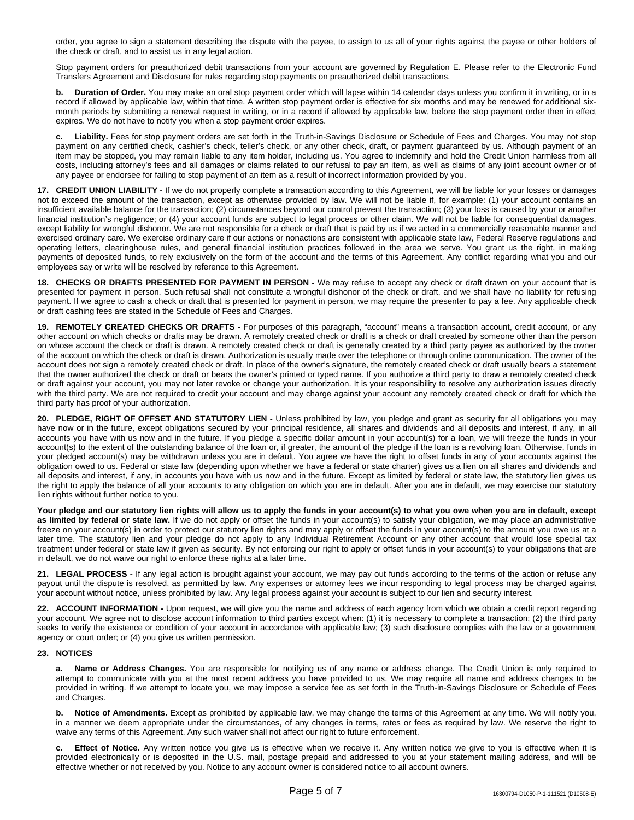order, you agree to sign a statement describing the dispute with the payee, to assign to us all of your rights against the payee or other holders of the check or draft, and to assist us in any legal action.

Stop payment orders for preauthorized debit transactions from your account are governed by Regulation E. Please refer to the Electronic Fund Transfers Agreement and Disclosure for rules regarding stop payments on preauthorized debit transactions.

**b. Duration of Order.** You may make an oral stop payment order which will lapse within 14 calendar days unless you confirm it in writing, or in a record if allowed by applicable law, within that time. A written stop payment order is effective for six months and may be renewed for additional sixmonth periods by submitting a renewal request in writing, or in a record if allowed by applicable law, before the stop payment order then in effect expires. We do not have to notify you when a stop payment order expires.

**c. Liability.** Fees for stop payment orders are set forth in the Truth-in-Savings Disclosure or Schedule of Fees and Charges. You may not stop payment on any certified check, cashier's check, teller's check, or any other check, draft, or payment guaranteed by us. Although payment of an item may be stopped, you may remain liable to any item holder, including us. You agree to indemnify and hold the Credit Union harmless from all costs, including attorney's fees and all damages or claims related to our refusal to pay an item, as well as claims of any joint account owner or of any payee or endorsee for failing to stop payment of an item as a result of incorrect information provided by you.

**17. CREDIT UNION LIABILITY -** If we do not properly complete a transaction according to this Agreement, we will be liable for your losses or damages not to exceed the amount of the transaction, except as otherwise provided by law. We will not be liable if, for example: (1) your account contains an insufficient available balance for the transaction; (2) circumstances beyond our control prevent the transaction; (3) your loss is caused by your or another financial institution's negligence; or (4) your account funds are subject to legal process or other claim. We will not be liable for consequential damages, except liability for wrongful dishonor. We are not responsible for a check or draft that is paid by us if we acted in a commercially reasonable manner and exercised ordinary care. We exercise ordinary care if our actions or nonactions are consistent with applicable state law, Federal Reserve regulations and operating letters, clearinghouse rules, and general financial institution practices followed in the area we serve. You grant us the right, in making payments of deposited funds, to rely exclusively on the form of the account and the terms of this Agreement. Any conflict regarding what you and our employees say or write will be resolved by reference to this Agreement.

**18. CHECKS OR DRAFTS PRESENTED FOR PAYMENT IN PERSON -** We may refuse to accept any check or draft drawn on your account that is presented for payment in person. Such refusal shall not constitute a wrongful dishonor of the check or draft, and we shall have no liability for refusing payment. If we agree to cash a check or draft that is presented for payment in person, we may require the presenter to pay a fee. Any applicable check or draft cashing fees are stated in the Schedule of Fees and Charges.

**19. REMOTELY CREATED CHECKS OR DRAFTS -** For purposes of this paragraph, "account" means a transaction account, credit account, or any other account on which checks or drafts may be drawn. A remotely created check or draft is a check or draft created by someone other than the person on whose account the check or draft is drawn. A remotely created check or draft is generally created by a third party payee as authorized by the owner of the account on which the check or draft is drawn. Authorization is usually made over the telephone or through online communication. The owner of the account does not sign a remotely created check or draft. In place of the owner's signature, the remotely created check or draft usually bears a statement that the owner authorized the check or draft or bears the owner's printed or typed name. If you authorize a third party to draw a remotely created check or draft against your account, you may not later revoke or change your authorization. It is your responsibility to resolve any authorization issues directly with the third party. We are not required to credit your account and may charge against your account any remotely created check or draft for which the third party has proof of your authorization.

**20. PLEDGE, RIGHT OF OFFSET AND STATUTORY LIEN -** Unless prohibited by law, you pledge and grant as security for all obligations you may have now or in the future, except obligations secured by your principal residence, all shares and dividends and all deposits and interest, if any, in all accounts you have with us now and in the future. If you pledge a specific dollar amount in your account(s) for a loan, we will freeze the funds in your account(s) to the extent of the outstanding balance of the loan or, if greater, the amount of the pledge if the loan is a revolving loan. Otherwise, funds in your pledged account(s) may be withdrawn unless you are in default. You agree we have the right to offset funds in any of your accounts against the obligation owed to us. Federal or state law (depending upon whether we have a federal or state charter) gives us a lien on all shares and dividends and all deposits and interest, if any, in accounts you have with us now and in the future. Except as limited by federal or state law, the statutory lien gives us the right to apply the balance of all your accounts to any obligation on which you are in default. After you are in default, we may exercise our statutory lien rights without further notice to you.

Your pledge and our statutory lien rights will allow us to apply the funds in your account(s) to what you owe when you are in default, except **as limited by federal or state law.** If we do not apply or offset the funds in your account(s) to satisfy your obligation, we may place an administrative freeze on your account(s) in order to protect our statutory lien rights and may apply or offset the funds in your account(s) to the amount you owe us at a later time. The statutory lien and your pledge do not apply to any Individual Retirement Account or any other account that would lose special tax treatment under federal or state law if given as security. By not enforcing our right to apply or offset funds in your account(s) to your obligations that are in default, we do not waive our right to enforce these rights at a later time.

**21. LEGAL PROCESS -** If any legal action is brought against your account, we may pay out funds according to the terms of the action or refuse any payout until the dispute is resolved, as permitted by law. Any expenses or attorney fees we incur responding to legal process may be charged against your account without notice, unless prohibited by law. Any legal process against your account is subject to our lien and security interest.

**22. ACCOUNT INFORMATION -** Upon request, we will give you the name and address of each agency from which we obtain a credit report regarding your account. We agree not to disclose account information to third parties except when: (1) it is necessary to complete a transaction; (2) the third party seeks to verify the existence or condition of your account in accordance with applicable law; (3) such disclosure complies with the law or a government agency or court order; or (4) you give us written permission.

#### **23. NOTICES**

**a. Name or Address Changes.** You are responsible for notifying us of any name or address change. The Credit Union is only required to attempt to communicate with you at the most recent address you have provided to us. We may require all name and address changes to be provided in writing. If we attempt to locate you, we may impose a service fee as set forth in the Truth-in-Savings Disclosure or Schedule of Fees and Charges.

**b. Notice of Amendments.** Except as prohibited by applicable law, we may change the terms of this Agreement at any time. We will notify you, in a manner we deem appropriate under the circumstances, of any changes in terms, rates or fees as required by law. We reserve the right to waive any terms of this Agreement. Any such waiver shall not affect our right to future enforcement.

**c. Effect of Notice.** Any written notice you give us is effective when we receive it. Any written notice we give to you is effective when it is provided electronically or is deposited in the U.S. mail, postage prepaid and addressed to you at your statement mailing address, and will be effective whether or not received by you. Notice to any account owner is considered notice to all account owners.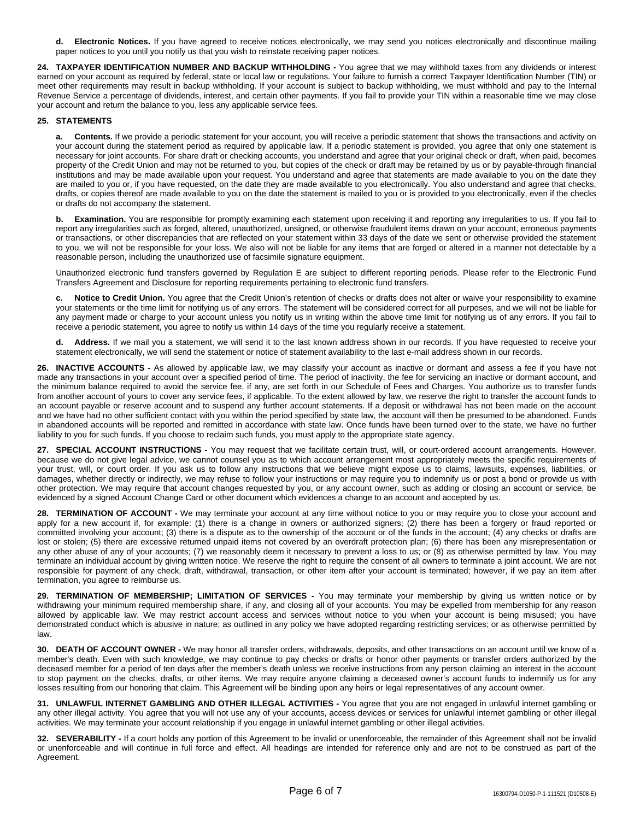**d. Electronic Notices.** If you have agreed to receive notices electronically, we may send you notices electronically and discontinue mailing paper notices to you until you notify us that you wish to reinstate receiving paper notices.

**24. TAXPAYER IDENTIFICATION NUMBER AND BACKUP WITHHOLDING -** You agree that we may withhold taxes from any dividends or interest earned on your account as required by federal, state or local law or regulations. Your failure to furnish a correct Taxpayer Identification Number (TIN) or meet other requirements may result in backup withholding. If your account is subject to backup withholding, we must withhold and pay to the Internal Revenue Service a percentage of dividends, interest, and certain other payments. If you fail to provide your TIN within a reasonable time we may close your account and return the balance to you, less any applicable service fees.

# **25. STATEMENTS**

**a. Contents.** If we provide a periodic statement for your account, you will receive a periodic statement that shows the transactions and activity on your account during the statement period as required by applicable law. If a periodic statement is provided, you agree that only one statement is necessary for joint accounts. For share draft or checking accounts, you understand and agree that your original check or draft, when paid, becomes property of the Credit Union and may not be returned to you, but copies of the check or draft may be retained by us or by payable-through financial institutions and may be made available upon your request. You understand and agree that statements are made available to you on the date they are mailed to you or, if you have requested, on the date they are made available to you electronically. You also understand and agree that checks, drafts, or copies thereof are made available to you on the date the statement is mailed to you or is provided to you electronically, even if the checks or drafts do not accompany the statement.

**b. Examination.** You are responsible for promptly examining each statement upon receiving it and reporting any irregularities to us. If you fail to report any irregularities such as forged, altered, unauthorized, unsigned, or otherwise fraudulent items drawn on your account, erroneous payments or transactions, or other discrepancies that are reflected on your statement within 33 days of the date we sent or otherwise provided the statement to you, we will not be responsible for your loss. We also will not be liable for any items that are forged or altered in a manner not detectable by a reasonable person, including the unauthorized use of facsimile signature equipment.

Unauthorized electronic fund transfers governed by Regulation E are subject to different reporting periods. Please refer to the Electronic Fund Transfers Agreement and Disclosure for reporting requirements pertaining to electronic fund transfers.

**c. Notice to Credit Union.** You agree that the Credit Union's retention of checks or drafts does not alter or waive your responsibility to examine your statements or the time limit for notifying us of any errors. The statement will be considered correct for all purposes, and we will not be liable for any payment made or charge to your account unless you notify us in writing within the above time limit for notifying us of any errors. If you fail to receive a periodic statement, you agree to notify us within 14 days of the time you regularly receive a statement.

**d. Address.** If we mail you a statement, we will send it to the last known address shown in our records. If you have requested to receive your statement electronically, we will send the statement or notice of statement availability to the last e-mail address shown in our records.

**26. INACTIVE ACCOUNTS -** As allowed by applicable law, we may classify your account as inactive or dormant and assess a fee if you have not made any transactions in your account over a specified period of time. The period of inactivity, the fee for servicing an inactive or dormant account, and the minimum balance required to avoid the service fee, if any, are set forth in our Schedule of Fees and Charges. You authorize us to transfer funds from another account of yours to cover any service fees, if applicable. To the extent allowed by law, we reserve the right to transfer the account funds to an account payable or reserve account and to suspend any further account statements. If a deposit or withdrawal has not been made on the account and we have had no other sufficient contact with you within the period specified by state law, the account will then be presumed to be abandoned. Funds in abandoned accounts will be reported and remitted in accordance with state law. Once funds have been turned over to the state, we have no further liability to you for such funds. If you choose to reclaim such funds, you must apply to the appropriate state agency.

**27. SPECIAL ACCOUNT INSTRUCTIONS -** You may request that we facilitate certain trust, will, or court-ordered account arrangements. However, because we do not give legal advice, we cannot counsel you as to which account arrangement most appropriately meets the specific requirements of your trust, will, or court order. If you ask us to follow any instructions that we believe might expose us to claims, lawsuits, expenses, liabilities, or damages, whether directly or indirectly, we may refuse to follow your instructions or may require you to indemnify us or post a bond or provide us with other protection. We may require that account changes requested by you, or any account owner, such as adding or closing an account or service, be evidenced by a signed Account Change Card or other document which evidences a change to an account and accepted by us.

**28. TERMINATION OF ACCOUNT -** We may terminate your account at any time without notice to you or may require you to close your account and apply for a new account if, for example: (1) there is a change in owners or authorized signers; (2) there has been a forgery or fraud reported or committed involving your account; (3) there is a dispute as to the ownership of the account or of the funds in the account; (4) any checks or drafts are lost or stolen; (5) there are excessive returned unpaid items not covered by an overdraft protection plan; (6) there has been any misrepresentation or any other abuse of any of your accounts; (7) we reasonably deem it necessary to prevent a loss to us; or (8) as otherwise permitted by law. You may terminate an individual account by giving written notice. We reserve the right to require the consent of all owners to terminate a joint account. We are not responsible for payment of any check, draft, withdrawal, transaction, or other item after your account is terminated; however, if we pay an item after termination, you agree to reimburse us.

**29. TERMINATION OF MEMBERSHIP; LIMITATION OF SERVICES -** You may terminate your membership by giving us written notice or by withdrawing your minimum required membership share, if any, and closing all of your accounts. You may be expelled from membership for any reason allowed by applicable law. We may restrict account access and services without notice to you when your account is being misused; you have demonstrated conduct which is abusive in nature; as outlined in any policy we have adopted regarding restricting services; or as otherwise permitted by law.

**30. DEATH OF ACCOUNT OWNER -** We may honor all transfer orders, withdrawals, deposits, and other transactions on an account until we know of a member's death. Even with such knowledge, we may continue to pay checks or drafts or honor other payments or transfer orders authorized by the deceased member for a period of ten days after the member's death unless we receive instructions from any person claiming an interest in the account to stop payment on the checks, drafts, or other items. We may require anyone claiming a deceased owner's account funds to indemnify us for any losses resulting from our honoring that claim. This Agreement will be binding upon any heirs or legal representatives of any account owner.

**31. UNLAWFUL INTERNET GAMBLING AND OTHER ILLEGAL ACTIVITIES -** You agree that you are not engaged in unlawful internet gambling or any other illegal activity. You agree that you will not use any of your accounts, access devices or services for unlawful internet gambling or other illegal activities. We may terminate your account relationship if you engage in unlawful internet gambling or other illegal activities.

**32. SEVERABILITY -** If a court holds any portion of this Agreement to be invalid or unenforceable, the remainder of this Agreement shall not be invalid or unenforceable and will continue in full force and effect. All headings are intended for reference only and are not to be construed as part of the Agreement.